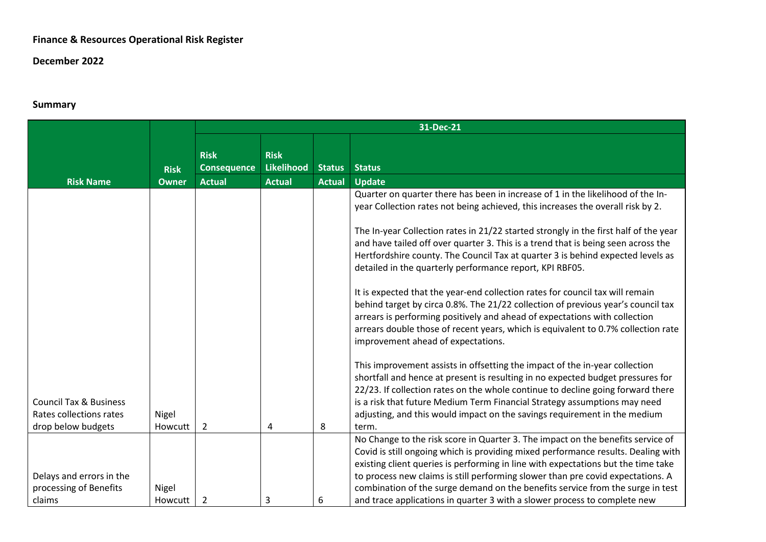## **Finance & Resources Operational Risk Register**

## **December 2022**

## **Summary**

|                                                              |                  | 31-Dec-21                         |                                  |               |                                                                                                                                                                                                                                                                                                                                                                                                                                |
|--------------------------------------------------------------|------------------|-----------------------------------|----------------------------------|---------------|--------------------------------------------------------------------------------------------------------------------------------------------------------------------------------------------------------------------------------------------------------------------------------------------------------------------------------------------------------------------------------------------------------------------------------|
|                                                              |                  |                                   |                                  |               |                                                                                                                                                                                                                                                                                                                                                                                                                                |
|                                                              |                  | <b>Risk</b><br><b>Consequence</b> | <b>Risk</b><br><b>Likelihood</b> | <b>Status</b> | <b>Status</b>                                                                                                                                                                                                                                                                                                                                                                                                                  |
|                                                              | <b>Risk</b>      |                                   |                                  |               |                                                                                                                                                                                                                                                                                                                                                                                                                                |
| <b>Risk Name</b>                                             | <b>Owner</b>     | <b>Actual</b>                     | <b>Actual</b>                    | <b>Actual</b> | <b>Update</b>                                                                                                                                                                                                                                                                                                                                                                                                                  |
|                                                              |                  |                                   |                                  |               | Quarter on quarter there has been in increase of 1 in the likelihood of the In-<br>year Collection rates not being achieved, this increases the overall risk by 2.                                                                                                                                                                                                                                                             |
|                                                              |                  |                                   |                                  |               | The In-year Collection rates in 21/22 started strongly in the first half of the year<br>and have tailed off over quarter 3. This is a trend that is being seen across the<br>Hertfordshire county. The Council Tax at quarter 3 is behind expected levels as<br>detailed in the quarterly performance report, KPI RBF05.                                                                                                       |
|                                                              |                  |                                   |                                  |               | It is expected that the year-end collection rates for council tax will remain<br>behind target by circa 0.8%. The 21/22 collection of previous year's council tax<br>arrears is performing positively and ahead of expectations with collection<br>arrears double those of recent years, which is equivalent to 0.7% collection rate<br>improvement ahead of expectations.                                                     |
| <b>Council Tax &amp; Business</b><br>Rates collections rates | Nigel<br>Howcutt | $\overline{2}$                    |                                  |               | This improvement assists in offsetting the impact of the in-year collection<br>shortfall and hence at present is resulting in no expected budget pressures for<br>22/23. If collection rates on the whole continue to decline going forward there<br>is a risk that future Medium Term Financial Strategy assumptions may need<br>adjusting, and this would impact on the savings requirement in the medium                    |
| drop below budgets                                           |                  |                                   | $\overline{4}$                   | 8             | term.                                                                                                                                                                                                                                                                                                                                                                                                                          |
| Delays and errors in the<br>processing of Benefits           | Nigel            |                                   |                                  |               | No Change to the risk score in Quarter 3. The impact on the benefits service of<br>Covid is still ongoing which is providing mixed performance results. Dealing with<br>existing client queries is performing in line with expectations but the time take<br>to process new claims is still performing slower than pre covid expectations. A<br>combination of the surge demand on the benefits service from the surge in test |
| claims                                                       | Howcutt          | 2                                 | 3                                | 6             | and trace applications in quarter 3 with a slower process to complete new                                                                                                                                                                                                                                                                                                                                                      |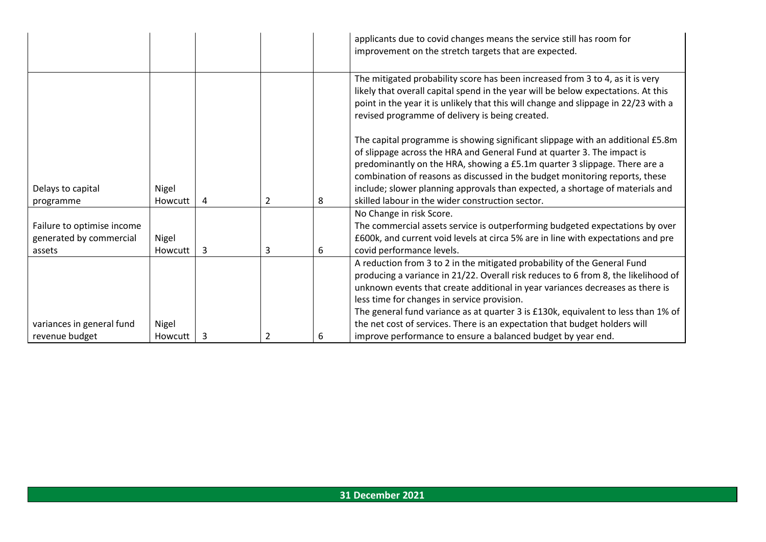|                                                                 |                  |   |                |   | applicants due to covid changes means the service still has room for<br>improvement on the stretch targets that are expected.                                                                                                                                                                                                                                                                                                                                                                                                     |
|-----------------------------------------------------------------|------------------|---|----------------|---|-----------------------------------------------------------------------------------------------------------------------------------------------------------------------------------------------------------------------------------------------------------------------------------------------------------------------------------------------------------------------------------------------------------------------------------------------------------------------------------------------------------------------------------|
|                                                                 |                  |   |                |   | The mitigated probability score has been increased from 3 to 4, as it is very<br>likely that overall capital spend in the year will be below expectations. At this<br>point in the year it is unlikely that this will change and slippage in 22/23 with a<br>revised programme of delivery is being created.                                                                                                                                                                                                                      |
| Delays to capital<br>programme                                  | Nigel<br>Howcutt | 4 | $\overline{2}$ | 8 | The capital programme is showing significant slippage with an additional £5.8m<br>of slippage across the HRA and General Fund at quarter 3. The impact is<br>predominantly on the HRA, showing a £5.1m quarter 3 slippage. There are a<br>combination of reasons as discussed in the budget monitoring reports, these<br>include; slower planning approvals than expected, a shortage of materials and<br>skilled labour in the wider construction sector.                                                                        |
| Failure to optimise income<br>generated by commercial<br>assets | Nigel<br>Howcutt | 3 | 3              | 6 | No Change in risk Score.<br>The commercial assets service is outperforming budgeted expectations by over<br>£600k, and current void levels at circa 5% are in line with expectations and pre<br>covid performance levels.                                                                                                                                                                                                                                                                                                         |
| variances in general fund<br>revenue budget                     | Nigel<br>Howcutt | 3 | 2              | 6 | A reduction from 3 to 2 in the mitigated probability of the General Fund<br>producing a variance in 21/22. Overall risk reduces to 6 from 8, the likelihood of<br>unknown events that create additional in year variances decreases as there is<br>less time for changes in service provision.<br>The general fund variance as at quarter 3 is £130k, equivalent to less than 1% of<br>the net cost of services. There is an expectation that budget holders will<br>improve performance to ensure a balanced budget by year end. |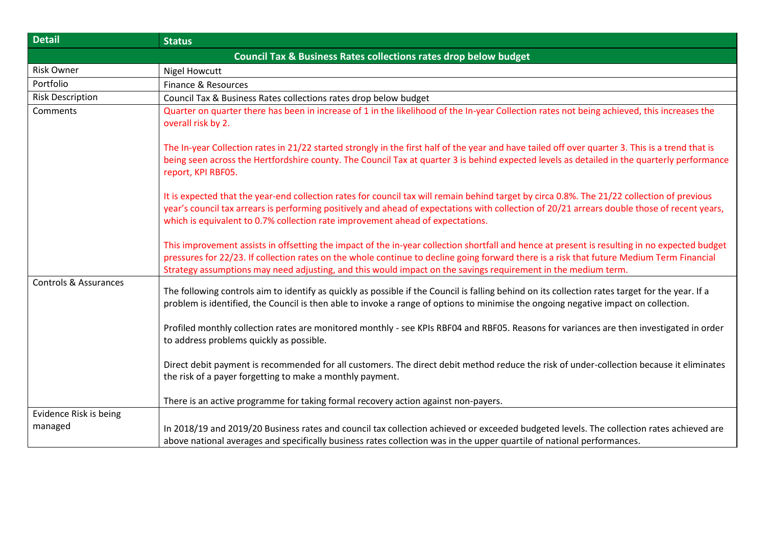| <b>Detail</b>                    | <b>Status</b>                                                                                                                                                                                                                                                                                                                                                                                               |
|----------------------------------|-------------------------------------------------------------------------------------------------------------------------------------------------------------------------------------------------------------------------------------------------------------------------------------------------------------------------------------------------------------------------------------------------------------|
|                                  | <b>Council Tax &amp; Business Rates collections rates drop below budget</b>                                                                                                                                                                                                                                                                                                                                 |
| <b>Risk Owner</b>                | <b>Nigel Howcutt</b>                                                                                                                                                                                                                                                                                                                                                                                        |
| Portfolio                        | Finance & Resources                                                                                                                                                                                                                                                                                                                                                                                         |
| <b>Risk Description</b>          | Council Tax & Business Rates collections rates drop below budget                                                                                                                                                                                                                                                                                                                                            |
| Comments                         | Quarter on quarter there has been in increase of 1 in the likelihood of the In-year Collection rates not being achieved, this increases the<br>overall risk by 2.                                                                                                                                                                                                                                           |
|                                  | The In-year Collection rates in 21/22 started strongly in the first half of the year and have tailed off over quarter 3. This is a trend that is<br>being seen across the Hertfordshire county. The Council Tax at quarter 3 is behind expected levels as detailed in the quarterly performance<br>report, KPI RBF05.                                                                                       |
|                                  | It is expected that the year-end collection rates for council tax will remain behind target by circa 0.8%. The 21/22 collection of previous<br>year's council tax arrears is performing positively and ahead of expectations with collection of 20/21 arrears double those of recent years,<br>which is equivalent to 0.7% collection rate improvement ahead of expectations.                               |
|                                  | This improvement assists in offsetting the impact of the in-year collection shortfall and hence at present is resulting in no expected budget<br>pressures for 22/23. If collection rates on the whole continue to decline going forward there is a risk that future Medium Term Financial<br>Strategy assumptions may need adjusting, and this would impact on the savings requirement in the medium term. |
| <b>Controls &amp; Assurances</b> | The following controls aim to identify as quickly as possible if the Council is falling behind on its collection rates target for the year. If a<br>problem is identified, the Council is then able to invoke a range of options to minimise the ongoing negative impact on collection.                                                                                                                     |
|                                  | Profiled monthly collection rates are monitored monthly - see KPIs RBF04 and RBF05. Reasons for variances are then investigated in order<br>to address problems quickly as possible.                                                                                                                                                                                                                        |
|                                  | Direct debit payment is recommended for all customers. The direct debit method reduce the risk of under-collection because it eliminates<br>the risk of a payer forgetting to make a monthly payment.                                                                                                                                                                                                       |
|                                  | There is an active programme for taking formal recovery action against non-payers.                                                                                                                                                                                                                                                                                                                          |
| Evidence Risk is being           |                                                                                                                                                                                                                                                                                                                                                                                                             |
| managed                          | In 2018/19 and 2019/20 Business rates and council tax collection achieved or exceeded budgeted levels. The collection rates achieved are                                                                                                                                                                                                                                                                    |
|                                  | above national averages and specifically business rates collection was in the upper quartile of national performances.                                                                                                                                                                                                                                                                                      |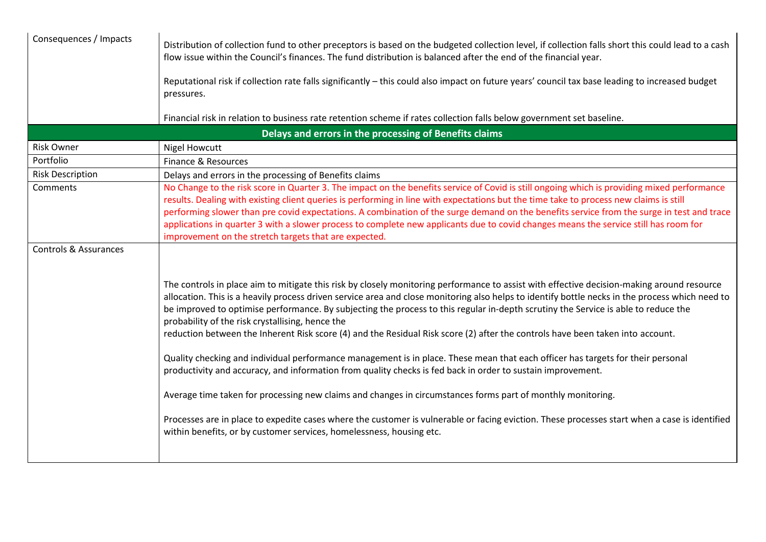| Distribution of collection fund to other preceptors is based on the budgeted collection level, if collection falls short this could lead to a cash<br>flow issue within the Council's finances. The fund distribution is balanced after the end of the financial year.                                                                                                                                                                                                                                                                                                                                                                                                                                                                                                                                                                                                                                                                                                                                                                                                                                                                                                                                              |
|---------------------------------------------------------------------------------------------------------------------------------------------------------------------------------------------------------------------------------------------------------------------------------------------------------------------------------------------------------------------------------------------------------------------------------------------------------------------------------------------------------------------------------------------------------------------------------------------------------------------------------------------------------------------------------------------------------------------------------------------------------------------------------------------------------------------------------------------------------------------------------------------------------------------------------------------------------------------------------------------------------------------------------------------------------------------------------------------------------------------------------------------------------------------------------------------------------------------|
| Reputational risk if collection rate falls significantly - this could also impact on future years' council tax base leading to increased budget<br>pressures.                                                                                                                                                                                                                                                                                                                                                                                                                                                                                                                                                                                                                                                                                                                                                                                                                                                                                                                                                                                                                                                       |
| Financial risk in relation to business rate retention scheme if rates collection falls below government set baseline.                                                                                                                                                                                                                                                                                                                                                                                                                                                                                                                                                                                                                                                                                                                                                                                                                                                                                                                                                                                                                                                                                               |
| Delays and errors in the processing of Benefits claims                                                                                                                                                                                                                                                                                                                                                                                                                                                                                                                                                                                                                                                                                                                                                                                                                                                                                                                                                                                                                                                                                                                                                              |
| <b>Nigel Howcutt</b>                                                                                                                                                                                                                                                                                                                                                                                                                                                                                                                                                                                                                                                                                                                                                                                                                                                                                                                                                                                                                                                                                                                                                                                                |
| Finance & Resources                                                                                                                                                                                                                                                                                                                                                                                                                                                                                                                                                                                                                                                                                                                                                                                                                                                                                                                                                                                                                                                                                                                                                                                                 |
| Delays and errors in the processing of Benefits claims                                                                                                                                                                                                                                                                                                                                                                                                                                                                                                                                                                                                                                                                                                                                                                                                                                                                                                                                                                                                                                                                                                                                                              |
| No Change to the risk score in Quarter 3. The impact on the benefits service of Covid is still ongoing which is providing mixed performance<br>results. Dealing with existing client queries is performing in line with expectations but the time take to process new claims is still<br>performing slower than pre covid expectations. A combination of the surge demand on the benefits service from the surge in test and trace<br>applications in quarter 3 with a slower process to complete new applicants due to covid changes means the service still has room for<br>improvement on the stretch targets that are expected.                                                                                                                                                                                                                                                                                                                                                                                                                                                                                                                                                                                 |
| The controls in place aim to mitigate this risk by closely monitoring performance to assist with effective decision-making around resource<br>allocation. This is a heavily process driven service area and close monitoring also helps to identify bottle necks in the process which need to<br>be improved to optimise performance. By subjecting the process to this regular in-depth scrutiny the Service is able to reduce the<br>probability of the risk crystallising, hence the<br>reduction between the Inherent Risk score (4) and the Residual Risk score (2) after the controls have been taken into account.<br>Quality checking and individual performance management is in place. These mean that each officer has targets for their personal<br>productivity and accuracy, and information from quality checks is fed back in order to sustain improvement.<br>Average time taken for processing new claims and changes in circumstances forms part of monthly monitoring.<br>Processes are in place to expedite cases where the customer is vulnerable or facing eviction. These processes start when a case is identified<br>within benefits, or by customer services, homelessness, housing etc. |
|                                                                                                                                                                                                                                                                                                                                                                                                                                                                                                                                                                                                                                                                                                                                                                                                                                                                                                                                                                                                                                                                                                                                                                                                                     |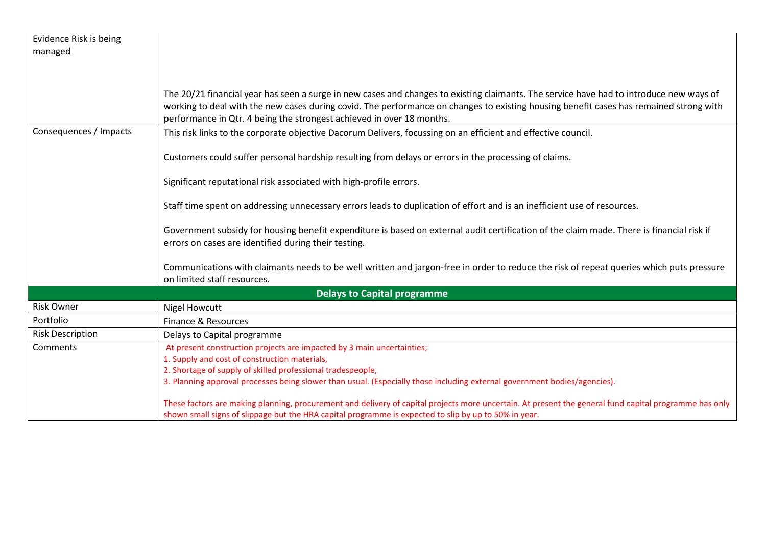| Evidence Risk is being<br>managed |                                                                                                                                                                                                                                                                                                                                                            |
|-----------------------------------|------------------------------------------------------------------------------------------------------------------------------------------------------------------------------------------------------------------------------------------------------------------------------------------------------------------------------------------------------------|
|                                   |                                                                                                                                                                                                                                                                                                                                                            |
|                                   |                                                                                                                                                                                                                                                                                                                                                            |
|                                   | The 20/21 financial year has seen a surge in new cases and changes to existing claimants. The service have had to introduce new ways of<br>working to deal with the new cases during covid. The performance on changes to existing housing benefit cases has remained strong with<br>performance in Qtr. 4 being the strongest achieved in over 18 months. |
| Consequences / Impacts            | This risk links to the corporate objective Dacorum Delivers, focussing on an efficient and effective council.                                                                                                                                                                                                                                              |
|                                   | Customers could suffer personal hardship resulting from delays or errors in the processing of claims.                                                                                                                                                                                                                                                      |
|                                   | Significant reputational risk associated with high-profile errors.                                                                                                                                                                                                                                                                                         |
|                                   | Staff time spent on addressing unnecessary errors leads to duplication of effort and is an inefficient use of resources.                                                                                                                                                                                                                                   |
|                                   | Government subsidy for housing benefit expenditure is based on external audit certification of the claim made. There is financial risk if<br>errors on cases are identified during their testing.                                                                                                                                                          |
|                                   | Communications with claimants needs to be well written and jargon-free in order to reduce the risk of repeat queries which puts pressure<br>on limited staff resources.                                                                                                                                                                                    |
|                                   | <b>Delays to Capital programme</b>                                                                                                                                                                                                                                                                                                                         |
| <b>Risk Owner</b>                 | <b>Nigel Howcutt</b>                                                                                                                                                                                                                                                                                                                                       |
| Portfolio                         | Finance & Resources                                                                                                                                                                                                                                                                                                                                        |
| <b>Risk Description</b>           | Delays to Capital programme                                                                                                                                                                                                                                                                                                                                |
| Comments                          | At present construction projects are impacted by 3 main uncertainties;                                                                                                                                                                                                                                                                                     |
|                                   | 1. Supply and cost of construction materials,                                                                                                                                                                                                                                                                                                              |
|                                   | 2. Shortage of supply of skilled professional tradespeople,                                                                                                                                                                                                                                                                                                |
|                                   | 3. Planning approval processes being slower than usual. (Especially those including external government bodies/agencies).                                                                                                                                                                                                                                  |
|                                   | These factors are making planning, procurement and delivery of capital projects more uncertain. At present the general fund capital programme has only<br>shown small signs of slippage but the HRA capital programme is expected to slip by up to 50% in year.                                                                                            |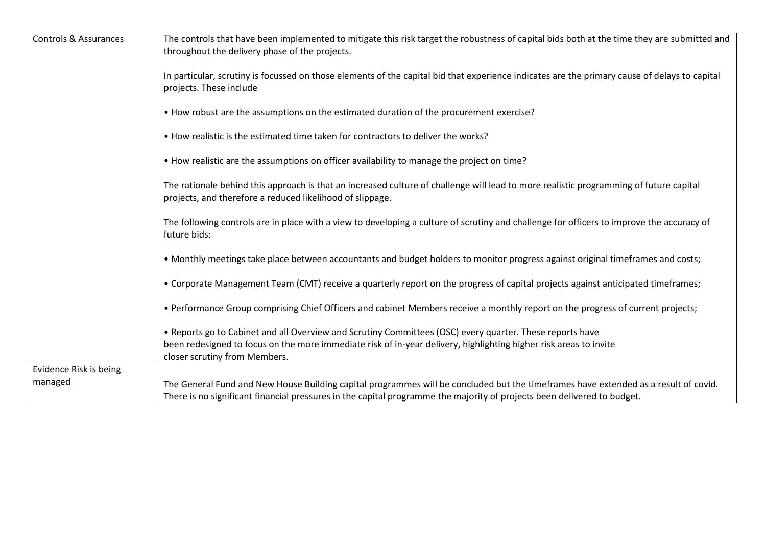| Controls & Assurances  | The controls that have been implemented to mitigate this risk target the robustness of capital bids both at the time they are submitted and<br>throughout the delivery phase of the projects.       |
|------------------------|-----------------------------------------------------------------------------------------------------------------------------------------------------------------------------------------------------|
|                        | In particular, scrutiny is focussed on those elements of the capital bid that experience indicates are the primary cause of delays to capital<br>projects. These include                            |
|                        | • How robust are the assumptions on the estimated duration of the procurement exercise?                                                                                                             |
|                        | • How realistic is the estimated time taken for contractors to deliver the works?                                                                                                                   |
|                        | • How realistic are the assumptions on officer availability to manage the project on time?                                                                                                          |
|                        | The rationale behind this approach is that an increased culture of challenge will lead to more realistic programming of future capital<br>projects, and therefore a reduced likelihood of slippage. |
|                        | The following controls are in place with a view to developing a culture of scrutiny and challenge for officers to improve the accuracy of<br>future bids:                                           |
|                        | • Monthly meetings take place between accountants and budget holders to monitor progress against original timeframes and costs;                                                                     |
|                        | • Corporate Management Team (CMT) receive a quarterly report on the progress of capital projects against anticipated timeframes;                                                                    |
|                        | • Performance Group comprising Chief Officers and cabinet Members receive a monthly report on the progress of current projects;                                                                     |
|                        | . Reports go to Cabinet and all Overview and Scrutiny Committees (OSC) every quarter. These reports have                                                                                            |
|                        | been redesigned to focus on the more immediate risk of in-year delivery, highlighting higher risk areas to invite<br>closer scrutiny from Members.                                                  |
| Evidence Risk is being |                                                                                                                                                                                                     |
| managed                | The General Fund and New House Building capital programmes will be concluded but the timeframes have extended as a result of covid.                                                                 |
|                        | There is no significant financial pressures in the capital programme the majority of projects been delivered to budget.                                                                             |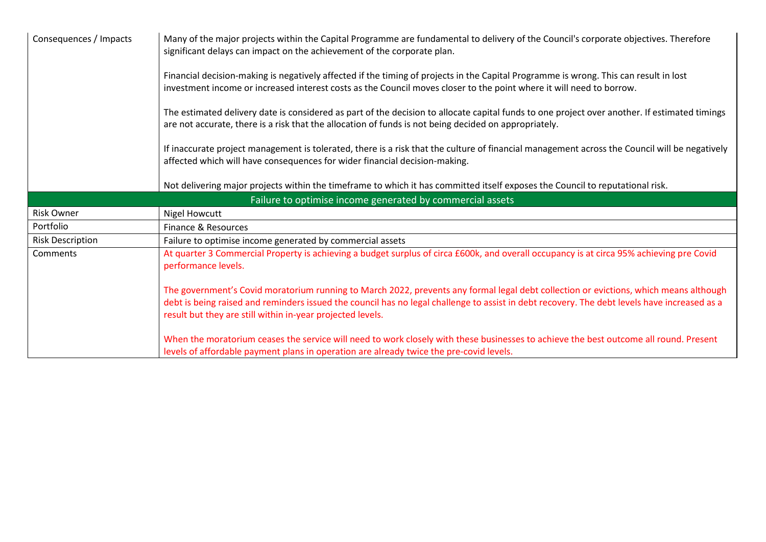| Consequences / Impacts  | Many of the major projects within the Capital Programme are fundamental to delivery of the Council's corporate objectives. Therefore<br>significant delays can impact on the achievement of the corporate plan.                                                                                                                                     |
|-------------------------|-----------------------------------------------------------------------------------------------------------------------------------------------------------------------------------------------------------------------------------------------------------------------------------------------------------------------------------------------------|
|                         | Financial decision-making is negatively affected if the timing of projects in the Capital Programme is wrong. This can result in lost<br>investment income or increased interest costs as the Council moves closer to the point where it will need to borrow.                                                                                       |
|                         | The estimated delivery date is considered as part of the decision to allocate capital funds to one project over another. If estimated timings<br>are not accurate, there is a risk that the allocation of funds is not being decided on appropriately.                                                                                              |
|                         | If inaccurate project management is tolerated, there is a risk that the culture of financial management across the Council will be negatively<br>affected which will have consequences for wider financial decision-making.                                                                                                                         |
|                         | Not delivering major projects within the timeframe to which it has committed itself exposes the Council to reputational risk.                                                                                                                                                                                                                       |
|                         |                                                                                                                                                                                                                                                                                                                                                     |
|                         | Failure to optimise income generated by commercial assets                                                                                                                                                                                                                                                                                           |
| <b>Risk Owner</b>       | <b>Nigel Howcutt</b>                                                                                                                                                                                                                                                                                                                                |
| Portfolio               | Finance & Resources                                                                                                                                                                                                                                                                                                                                 |
| <b>Risk Description</b> | Failure to optimise income generated by commercial assets                                                                                                                                                                                                                                                                                           |
| Comments                | At quarter 3 Commercial Property is achieving a budget surplus of circa £600k, and overall occupancy is at circa 95% achieving pre Covid<br>performance levels.                                                                                                                                                                                     |
|                         | The government's Covid moratorium running to March 2022, prevents any formal legal debt collection or evictions, which means although<br>debt is being raised and reminders issued the council has no legal challenge to assist in debt recovery. The debt levels have increased as a<br>result but they are still within in-year projected levels. |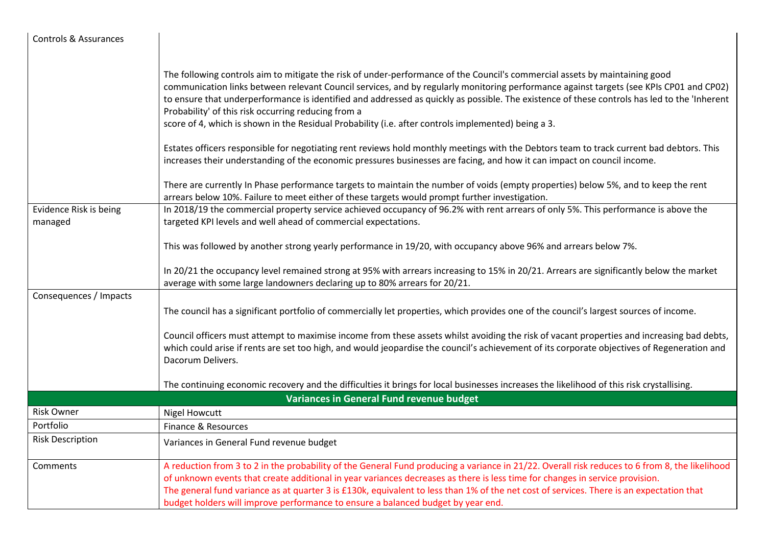| <b>Controls &amp; Assurances</b> |                                                                                                                                                                                                                                                                                                                                                                                                                                                                                                                                                                                      |
|----------------------------------|--------------------------------------------------------------------------------------------------------------------------------------------------------------------------------------------------------------------------------------------------------------------------------------------------------------------------------------------------------------------------------------------------------------------------------------------------------------------------------------------------------------------------------------------------------------------------------------|
|                                  |                                                                                                                                                                                                                                                                                                                                                                                                                                                                                                                                                                                      |
|                                  | The following controls aim to mitigate the risk of under-performance of the Council's commercial assets by maintaining good<br>communication links between relevant Council services, and by regularly monitoring performance against targets (see KPIs CP01 and CP02)<br>to ensure that underperformance is identified and addressed as quickly as possible. The existence of these controls has led to the 'Inherent<br>Probability' of this risk occurring reducing from a<br>score of 4, which is shown in the Residual Probability (i.e. after controls implemented) being a 3. |
|                                  |                                                                                                                                                                                                                                                                                                                                                                                                                                                                                                                                                                                      |
|                                  | Estates officers responsible for negotiating rent reviews hold monthly meetings with the Debtors team to track current bad debtors. This<br>increases their understanding of the economic pressures businesses are facing, and how it can impact on council income.                                                                                                                                                                                                                                                                                                                  |
|                                  | There are currently In Phase performance targets to maintain the number of voids (empty properties) below 5%, and to keep the rent<br>arrears below 10%. Failure to meet either of these targets would prompt further investigation.                                                                                                                                                                                                                                                                                                                                                 |
| Evidence Risk is being           | In 2018/19 the commercial property service achieved occupancy of 96.2% with rent arrears of only 5%. This performance is above the                                                                                                                                                                                                                                                                                                                                                                                                                                                   |
| managed                          | targeted KPI levels and well ahead of commercial expectations.                                                                                                                                                                                                                                                                                                                                                                                                                                                                                                                       |
|                                  | This was followed by another strong yearly performance in 19/20, with occupancy above 96% and arrears below 7%.                                                                                                                                                                                                                                                                                                                                                                                                                                                                      |
|                                  | In 20/21 the occupancy level remained strong at 95% with arrears increasing to 15% in 20/21. Arrears are significantly below the market<br>average with some large landowners declaring up to 80% arrears for 20/21.                                                                                                                                                                                                                                                                                                                                                                 |
| Consequences / Impacts           |                                                                                                                                                                                                                                                                                                                                                                                                                                                                                                                                                                                      |
|                                  | The council has a significant portfolio of commercially let properties, which provides one of the council's largest sources of income.                                                                                                                                                                                                                                                                                                                                                                                                                                               |
|                                  | Council officers must attempt to maximise income from these assets whilst avoiding the risk of vacant properties and increasing bad debts,<br>which could arise if rents are set too high, and would jeopardise the council's achievement of its corporate objectives of Regeneration and<br>Dacorum Delivers.                                                                                                                                                                                                                                                                       |
|                                  | The continuing economic recovery and the difficulties it brings for local businesses increases the likelihood of this risk crystallising.                                                                                                                                                                                                                                                                                                                                                                                                                                            |
|                                  | Variances in General Fund revenue budget                                                                                                                                                                                                                                                                                                                                                                                                                                                                                                                                             |
| <b>Risk Owner</b>                | <b>Nigel Howcutt</b>                                                                                                                                                                                                                                                                                                                                                                                                                                                                                                                                                                 |
| Portfolio                        | Finance & Resources                                                                                                                                                                                                                                                                                                                                                                                                                                                                                                                                                                  |
| <b>Risk Description</b>          | Variances in General Fund revenue budget                                                                                                                                                                                                                                                                                                                                                                                                                                                                                                                                             |
| Comments                         | A reduction from 3 to 2 in the probability of the General Fund producing a variance in 21/22. Overall risk reduces to 6 from 8, the likelihood<br>of unknown events that create additional in year variances decreases as there is less time for changes in service provision.<br>The general fund variance as at quarter 3 is £130k, equivalent to less than 1% of the net cost of services. There is an expectation that<br>budget holders will improve performance to ensure a balanced budget by year end.                                                                       |